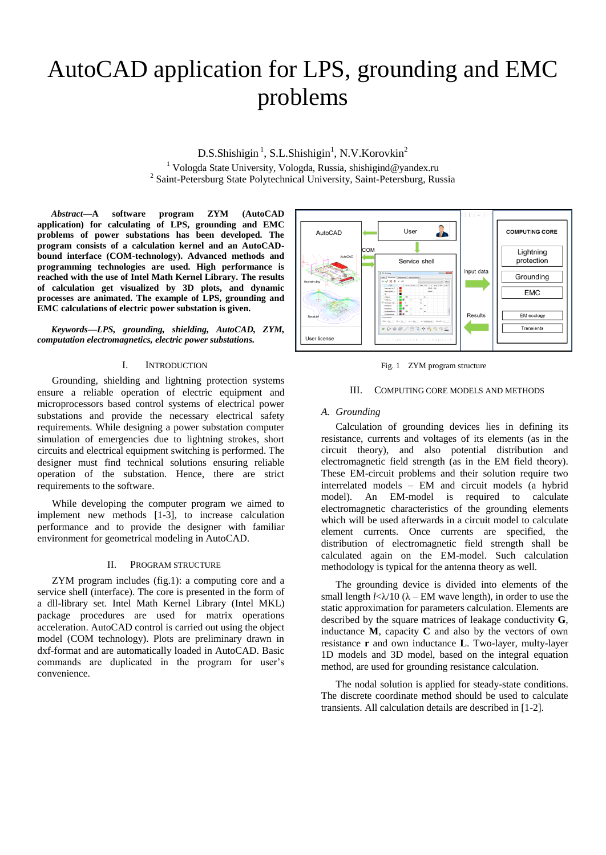# AutoCAD application for LPS, grounding and EMC problems

 $D.S.$ Shishigin<sup>1</sup>, S.L.Shishigin<sup>1</sup>, N.V.Korovkin<sup>2</sup>

<sup>1</sup> Vologda State University, Vologda, Russia, shishigind@yandex.ru <sup>2</sup> Saint-Petersburg State Polytechnical University, Saint-Petersburg, Russia

*Abstract***—A software program ZYM (AutoCAD application) for calculating of LPS, grounding and EMC problems of power substations has been developed. The program consists of a calculation kernel and an AutoCADbound interface (COM-technology). Advanced methods and programming technologies are used. High performance is reached with the use of Intel Math Kernel Library. The results of calculation get visualized by 3D plots, and dynamic processes are animated. The example of LPS, grounding and EMC calculations of electric power substation is given.**

*Keywords—LPS, grounding, shielding, AutoCAD, ZYM, computation electromagnetics, electric power substations.*

## I. INTRODUCTION

Grounding, shielding and lightning protection systems ensure a reliable operation of electric equipment and microprocessors based control systems of electrical power substations and provide the necessary electrical safety requirements. While designing a power substation computer simulation of emergencies due to lightning strokes, short circuits and electrical equipment switching is performed. The designer must find technical solutions ensuring reliable operation of the substation. Hence, there are strict requirements to the software.

While developing the computer program we aimed to implement new methods [1-3], to increase calculation performance and to provide the designer with familiar environment for geometrical modeling in AutoCAD.

# II. PROGRAM STRUCTURE

ZYM program includes (fig.1): a computing core and a service shell (interface). The core is presented in the form of a dll-library set. Intel Math Kernel Library (Intel MKL) package procedures are used for matrix operations acceleration. AutoCAD control is carried out using the object model (COM technology). Plots are preliminary drawn in dxf-format and are automatically loaded in AutoCAD. Basic commands are duplicated in the program for user's convenience.



Fig. 1 ZYM program structure

## III. COMPUTING CORE MODELS AND METHODS

#### *A. Grounding*

Calculation of grounding devices lies in defining its resistance, currents and voltages of its elements (as in the circuit theory), and also potential distribution and electromagnetic field strength (as in the EM field theory). These EM-circuit problems and their solution require two interrelated models – EM and circuit models (a hybrid model). An EM-model is required to calculate electromagnetic characteristics of the grounding elements which will be used afterwards in a circuit model to calculate element currents. Once currents are specified, the distribution of electromagnetic field strength shall be calculated again on the EM-model. Such calculation methodology is typical for the antenna theory as well.

The grounding device is divided into elements of the small length  $l < \lambda/10$  ( $\lambda$  – EM wave length), in order to use the static approximation for parameters calculation. Elements are described by the square matrices of leakage conductivity **G**, inductance **M**, capacity **C** and also by the vectors of own resistance **r** and own inductance **L**. Two-layer, multy-layer 1D models and 3D model, based on the integral equation method, are used for grounding resistance calculation.

The nodal solution is applied for steady-state conditions. The discrete coordinate method should be used to calculate transients. All calculation details are described in [1-2].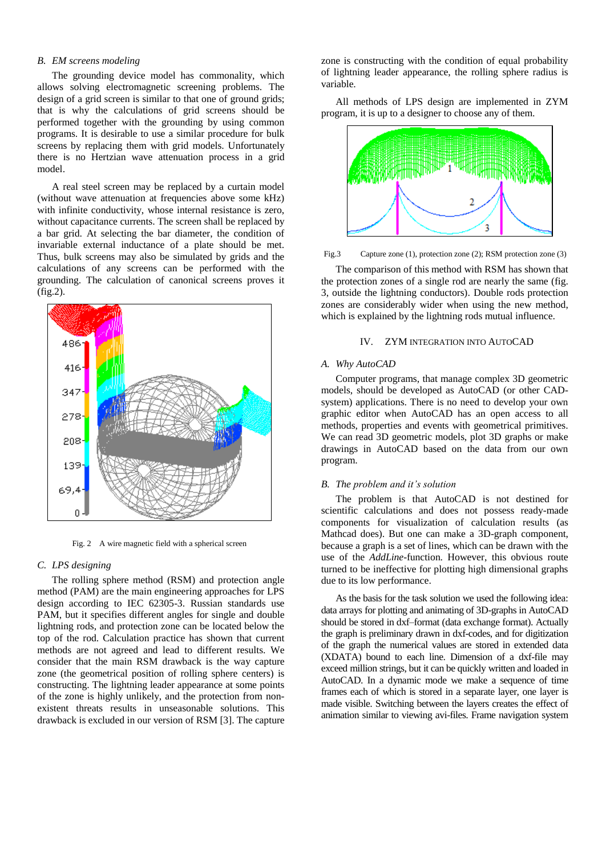## *B. EM screens modeling*

The grounding device model has commonality, which allows solving electromagnetic screening problems. The design of a grid screen is similar to that one of ground grids; that is why the calculations of grid screens should be performed together with the grounding by using common programs. It is desirable to use a similar procedure for bulk screens by replacing them with grid models. Unfortunately there is no Hertzian wave attenuation process in a grid model.

A real steel screen may be replaced by a curtain model (without wave attenuation at frequencies above some kHz) with infinite conductivity, whose internal resistance is zero, without capacitance currents. The screen shall be replaced by a bar grid. At selecting the bar diameter, the condition of invariable external inductance of a plate should be met. Thus, bulk screens may also be simulated by grids and the calculations of any screens can be performed with the grounding. The calculation of canonical screens proves it (fig.2).



Fig. 2 A wire magnetic field with a spherical screen

# *C. LPS designing*

The rolling sphere method (RSM) and protection angle method (PAM) are the main engineering approaches for LPS design according to IEC 62305-3. Russian standards use PAM, but it specifies different angles for single and double lightning rods, and protection zone can be located below the top of the rod. Calculation practice has shown that current methods are not agreed and lead to different results. We consider that the main RSM drawback is the way capture zone (the geometrical position of rolling sphere centers) is constructing. The lightning leader appearance at some points of the zone is highly unlikely, and the protection from nonexistent threats results in unseasonable solutions. This drawback is excluded in our version of RSM [3]. The capture

zone is constructing with the condition of equal probability of lightning leader appearance, the rolling sphere radius is variable.

All methods of LPS design are implemented in ZYM program, it is up to a designer to choose any of them.



Fig.3 Capture zone (1), protection zone (2); RSM protection zone (3)

The comparison of this method with RSM has shown that the protection zones of a single rod are nearly the same (fig. 3, outside the lightning conductors). Double rods protection zones are considerably wider when using the new method, which is explained by the lightning rods mutual influence.

## IV. ZYM INTEGRATION INTO AUTOCAD

#### *A. Why AutoCAD*

Computer programs, that manage complex 3D geometric models, should be developed as AutoCAD (or other CADsystem) applications. There is no need to develop your own graphic editor when AutoCAD has an open access to all methods, properties and events with geometrical primitives. We can read 3D geometric models, plot 3D graphs or make drawings in AutoCAD based on the data from our own program.

## *B. The problem and it's solution*

The problem is that AutoCAD is not destined for scientific calculations and does not possess ready-made components for visualization of calculation results (as Mathcad does). But one can make a 3D-graph component, because a graph is a set of lines, which can be drawn with the use of the *AddLine*-function. However, this obvious route turned to be ineffective for plotting high dimensional graphs due to its low performance.

As the basis for the task solution we used the following idea: data arrays for plotting and animating of 3D-graphs in AutoCAD should be stored in dxf–format (data exchange format). Actually the graph is preliminary drawn in dxf-codes, and for digitization of the graph the numerical values are stored in extended data (XDATA) bound to each line. Dimension of a dxf-file may exceed million strings, but it can be quickly written and loaded in AutoCAD. In a dynamic mode we make a sequence of time frames each of which is stored in a separate layer, one layer is made visible. Switching between the layers creates the effect of animation similar to viewing avi-files. Frame navigation system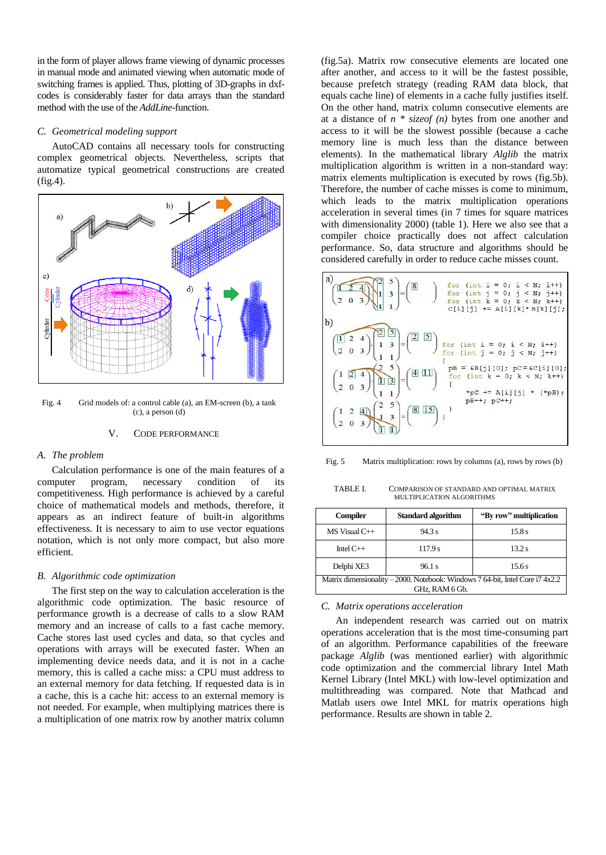in the form of player allows frame viewing of dynamic processes in manual mode and animated viewing when automatic mode of switching frames is applied. Thus, plotting of 3D-graphs in dxfcodes is considerably faster for data arrays than the standard method with the use of the *AddLine*-function.

#### *C. Geometrical modeling support*

AutoCAD contains all necessary tools for constructing complex geometrical objects. Nevertheless, scripts that automatize typical geometrical constructions are created (fig.4).



Fig. 4 Grid models of: a control cable (a), an EM-screen (b), a tank (c), a person (d)

#### V. CODE PERFORMANCE

#### *A. The problem*

Calculation performance is one of the main features of a computer program, necessary condition of its competitiveness. High performance is achieved by a careful choice of mathematical models and methods, therefore, it appears as an indirect feature of built-in algorithms effectiveness. It is necessary to aim to use vector equations notation, which is not only more compact, but also more efficient.

#### *B. Algorithmic code optimization*

The first step on the way to calculation acceleration is the algorithmic code optimization. The basic resource of performance growth is a decrease of calls to a slow RAM memory and an increase of calls to a fast cache memory. Cache stores last used cycles and data, so that cycles and operations with arrays will be executed faster. When an implementing device needs data, and it is not in a cache memory, this is called a cache miss: a CPU must address to an external memory for data fetching. If requested data is in a cache, this is a cache hit: access to an external memory is not needed. For example, when multiplying matrices there is a multiplication of one matrix row by another matrix column

(fig.5a). Matrix row consecutive elements are located one after another, and access to it will be the fastest possible, because prefetch strategy (reading RAM data block, that equals cache line) of elements in a cache fully justifies itself. On the other hand, matrix column consecutive elements are at a distance of *n \* sizeof (n)* bytes from one another and access to it will be the slowest possible (because a cache memory line is much less than the distance between elements). In the mathematical library *Alglib* the matrix multiplication algorithm is written in a non-standard way: matrix elements multiplication is executed by rows (fig.5b). Therefore, the number of cache misses is come to minimum, which leads to the matrix multiplication operations acceleration in several times (in 7 times for square matrices with dimensionality 2000) (table 1). Here we also see that a compiler choice practically does not affect calculation performance. So, data structure and algorithms should be considered carefully in order to reduce cache misses count.



Fig. 5 Matrix multiplication: rows by columns (a), rows by rows (b)

| TABLE I. | COMPARISON OF STANDARD AND OPTIMAL MATRIX |
|----------|-------------------------------------------|
|          | MULTIPLICATION ALGORITHMS                 |

| <b>Compiler</b>                                                               | <b>Standard algorithm</b> | "By row" multiplication |  |  |  |  |
|-------------------------------------------------------------------------------|---------------------------|-------------------------|--|--|--|--|
| $MS$ Visual $C++$                                                             | 94.3 s                    | 15.8 s                  |  |  |  |  |
| Intel $C++$                                                                   | 117.9 s                   | 13.2 s                  |  |  |  |  |
| Delphi XE3                                                                    | 96.1 s                    | 15.6 s                  |  |  |  |  |
| Matrix dimensionality – 2000. Notebook: Windows 7 64-bit, Intel Core i7 4x2.2 |                           |                         |  |  |  |  |
| GHz, RAM 6 Gb.                                                                |                           |                         |  |  |  |  |

#### *C. Matrix operations acceleration*

An independent research was carried out on matrix operations acceleration that is the most time-consuming part of an algorithm. Performance capabilities of the freeware package *Alglib* (was mentioned earlier) with algorithmic code optimization and the commercial library Intel Math Kernel Library (Intel MKL) with low-level optimization and multithreading was compared. Note that Mathcad and Matlab users owe Intel MKL for matrix operations high performance. Results are shown in table 2.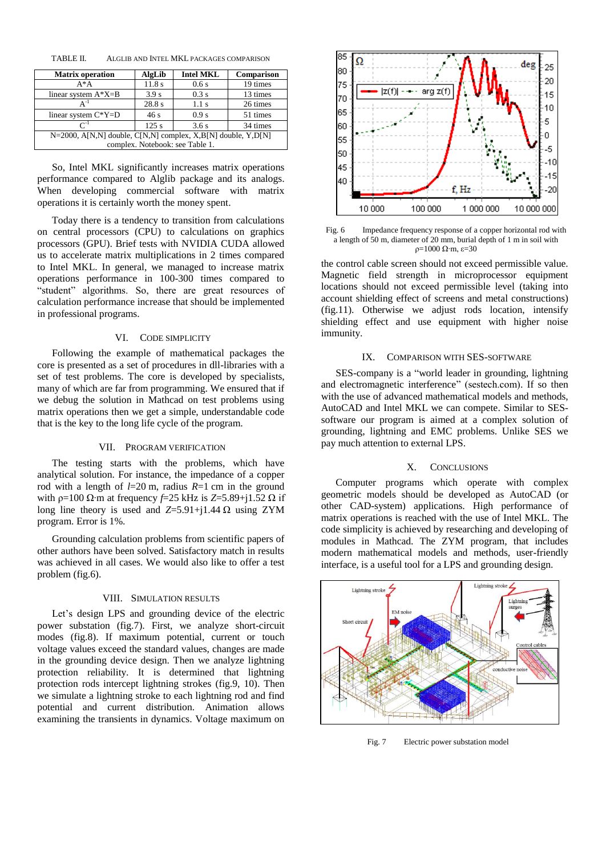TABLE II. ALGLIB AND INTEL MKL PACKAGES COMPARISON

| <b>Matrix operation</b>                                      | AlgLib           | <b>Intel MKL</b> | Comparison |  |  |
|--------------------------------------------------------------|------------------|------------------|------------|--|--|
| $A^*A$                                                       | 11.8s            | 0.6s             | 19 times   |  |  |
| linear system $A^*X = B$                                     | 3.9 <sub>s</sub> | $0.3$ s          | 13 times   |  |  |
| $A^{-1}$                                                     | 28.8 s           | $1.1$ s          | 26 times   |  |  |
| linear system C*Y=D                                          | 46s              | 0.9 s            | 51 times   |  |  |
|                                                              | 125s             | 3.6s             | 34 times   |  |  |
| N=2000, A[N,N] double, C[N,N] complex, X,B[N] double, Y,D[N] |                  |                  |            |  |  |
| complex. Notebook: see Table 1.                              |                  |                  |            |  |  |

So, Intel MKL significantly increases matrix operations performance compared to Alglib package and its analogs. When developing commercial software with matrix operations it is certainly worth the money spent.

Today there is a tendency to transition from calculations on central processors (CPU) to calculations on graphics processors (GPU). Brief tests with NVIDIA CUDA allowed us to accelerate matrix multiplications in 2 times compared to Intel MKL. In general, we managed to increase matrix operations performance in 100-300 times compared to "student" algorithms. So, there are great resources of calculation performance increase that should be implemented in professional programs.

## VI. CODE SIMPLICITY

Following the example of mathematical packages the core is presented as a set of procedures in dll-libraries with a set of test problems. The core is developed by specialists, many of which are far from programming. We ensured that if we debug the solution in Mathcad on test problems using matrix operations then we get a simple, understandable code that is the key to the long life cycle of the program.

#### VII. PROGRAM VERIFICATION

The testing starts with the problems, which have analytical solution. For instance, the impedance of a copper rod with a length of *l*=20 m, radius *R*=1 cm in the ground with  $ρ=100 Ω·m$  at frequency *f*=25 kHz is Z=5.89+j1.52 Ω if long line theory is used and  $Z=5.91+j1.44 \Omega$  using ZYM program. Error is 1%.

Grounding calculation problems from scientific papers of other authors have been solved. Satisfactory match in results was achieved in all cases. We would also like to offer a test problem (fig.6).

#### VIII. SIMULATION RESULTS

Let's design LPS and grounding device of the electric power substation (fig.7). First, we analyze short-circuit modes (fig.8). If maximum potential, current or touch voltage values exceed the standard values, changes are made in the grounding device design. Then we analyze lightning protection reliability. It is determined that lightning protection rods intercept lightning strokes (fig.9, 10). Then we simulate a lightning stroke to each lightning rod and find potential and current distribution. Animation allows examining the transients in dynamics. Voltage maximum on



Fig. 6 Impedance frequency response of a copper horizontal rod with a length of  $\overline{50}$  m, diameter of 20 mm, burial depth of 1 m in soil with ρ=1000 Ω∙m, ε=30

the control cable screen should not exceed permissible value. Magnetic field strength in microprocessor equipment locations should not exceed permissible level (taking into account shielding effect of screens and metal constructions) (fig.11). Otherwise we adjust rods location, intensify shielding effect and use equipment with higher noise immunity.

# IX. COMPARISON WITH SES-SOFTWARE

SES-company is a "world leader in grounding, lightning and electromagnetic interference" (sestech.com). If so then with the use of advanced mathematical models and methods, AutoCAD and Intel MKL we can compete. Similar to SESsoftware our program is aimed at a complex solution of grounding, lightning and EMC problems. Unlike SES we pay much attention to external LPS.

#### X. CONCLUSIONS

Computer programs which operate with complex geometric models should be developed as AutoCAD (or other CAD-system) applications. High performance of matrix operations is reached with the use of Intel MKL. The code simplicity is achieved by researching and developing of modules in Mathcad. The ZYM program, that includes modern mathematical models and methods, user-friendly interface, is a useful tool for a LPS and grounding design.



Fig. 7 Electric power substation model